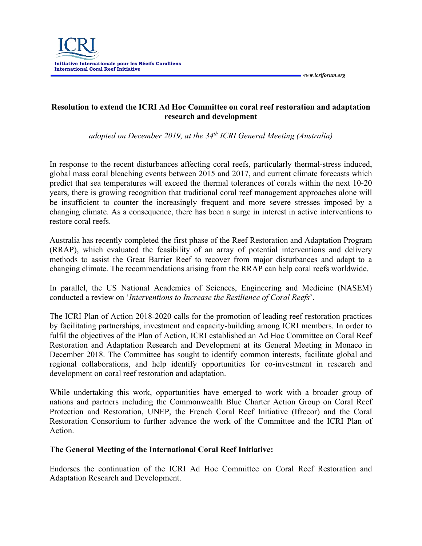

**Resolution to extend the ICRI Ad Hoc Committee on coral reef restoration and adaptation research and development**

 *www.icriforum.org* 

*adopted on December 2019, at the 34th ICRI General Meeting (Australia)*

In response to the recent disturbances affecting coral reefs, particularly thermal-stress induced, global mass coral bleaching events between 2015 and 2017, and current climate forecasts which predict that sea temperatures will exceed the thermal tolerances of corals within the next 10-20 years, there is growing recognition that traditional coral reef management approaches alone will be insufficient to counter the increasingly frequent and more severe stresses imposed by a changing climate. As a consequence, there has been a surge in interest in active interventions to restore coral reefs.

Australia has recently completed the first phase of the Reef Restoration and Adaptation Program (RRAP), which evaluated the feasibility of an array of potential interventions and delivery methods to assist the Great Barrier Reef to recover from major disturbances and adapt to a changing climate. The recommendations arising from the RRAP can help coral reefs worldwide.

In parallel, the US National Academies of Sciences, Engineering and Medicine (NASEM) conducted a review on '*Interventions to Increase the Resilience of Coral Reefs*'.

The ICRI Plan of Action 2018-2020 calls for the promotion of leading reef restoration practices by facilitating partnerships, investment and capacity-building among ICRI members. In order to fulfil the objectives of the Plan of Action, ICRI established an Ad Hoc Committee on Coral Reef Restoration and Adaptation Research and Development at its General Meeting in Monaco in December 2018. The Committee has sought to identify common interests, facilitate global and regional collaborations, and help identify opportunities for co-investment in research and development on coral reef restoration and adaptation.

While undertaking this work, opportunities have emerged to work with a broader group of nations and partners including the Commonwealth Blue Charter Action Group on Coral Reef Protection and Restoration, UNEP, the French Coral Reef Initiative (Ifrecor) and the Coral Restoration Consortium to further advance the work of the Committee and the ICRI Plan of Action.

## **The General Meeting of the International Coral Reef Initiative:**

Endorses the continuation of the ICRI Ad Hoc Committee on Coral Reef Restoration and Adaptation Research and Development.